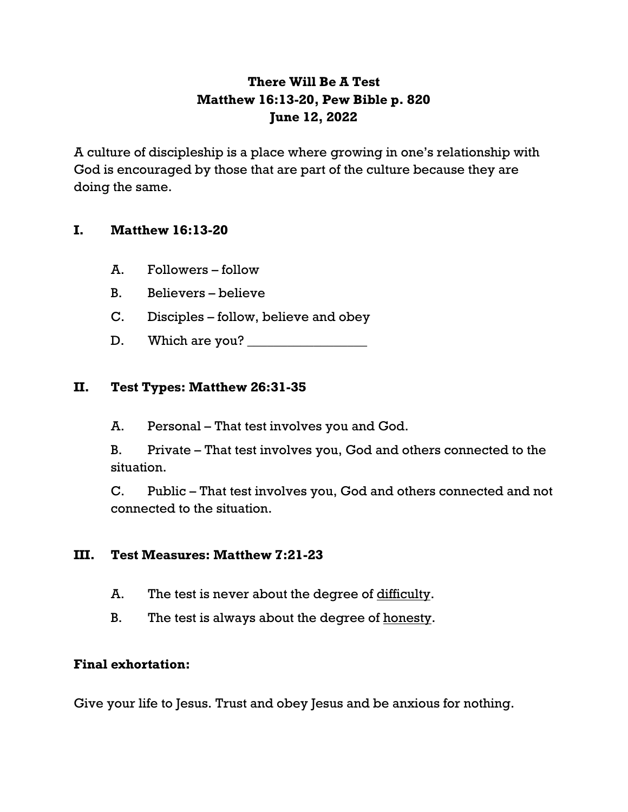## **There Will Be A Test Matthew 16:13-20, Pew Bible p. 820 June 12, 2022**

A culture of discipleship is a place where growing in one's relationship with God is encouraged by those that are part of the culture because they are doing the same.

## **I. Matthew 16:13-20**

- A. Followers follow
- B. Believers believe
- C. Disciples follow, believe and obey
- D. Which are you? \_\_\_\_\_\_\_\_\_\_\_\_\_\_\_\_\_\_

## **II. Test Types: Matthew 26:31-35**

A. Personal – That test involves you and God.

B. Private – That test involves you, God and others connected to the situation.

C. Public – That test involves you, God and others connected and not connected to the situation.

### **III. Test Measures: Matthew 7:21-23**

- A. The test is never about the degree of difficulty.
- B. The test is always about the degree of honesty.

### **Final exhortation:**

Give your life to Jesus. Trust and obey Jesus and be anxious for nothing.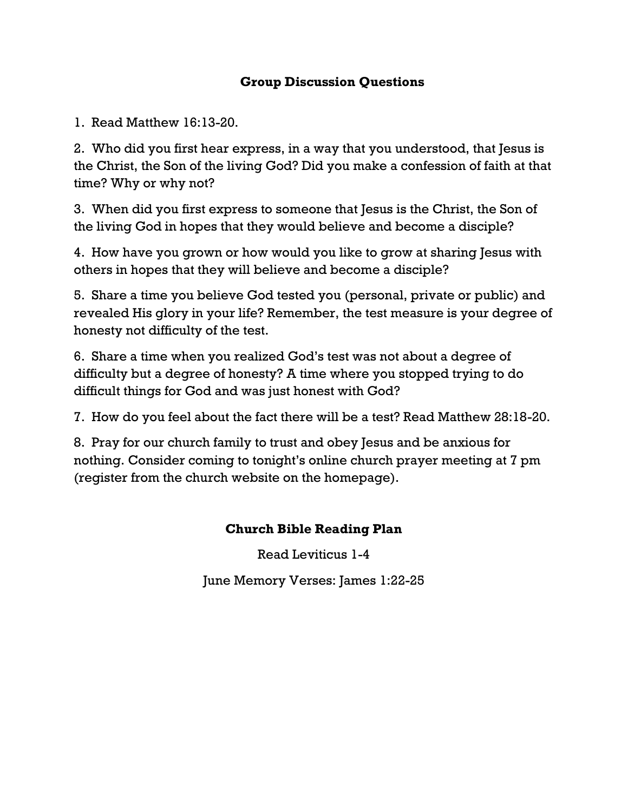## **Group Discussion Questions**

1. Read Matthew 16:13-20.

2. Who did you first hear express, in a way that you understood, that Jesus is the Christ, the Son of the living God? Did you make a confession of faith at that time? Why or why not?

3. When did you first express to someone that Jesus is the Christ, the Son of the living God in hopes that they would believe and become a disciple?

4. How have you grown or how would you like to grow at sharing Jesus with others in hopes that they will believe and become a disciple?

5. Share a time you believe God tested you (personal, private or public) and revealed His glory in your life? Remember, the test measure is your degree of honesty not difficulty of the test.

6. Share a time when you realized God's test was not about a degree of difficulty but a degree of honesty? A time where you stopped trying to do difficult things for God and was just honest with God?

7. How do you feel about the fact there will be a test? Read Matthew 28:18-20.

8. Pray for our church family to trust and obey Jesus and be anxious for nothing. Consider coming to tonight's online church prayer meeting at 7 pm (register from the church website on the homepage).

## **Church Bible Reading Plan**

Read Leviticus 1-4

June Memory Verses: James 1:22-25